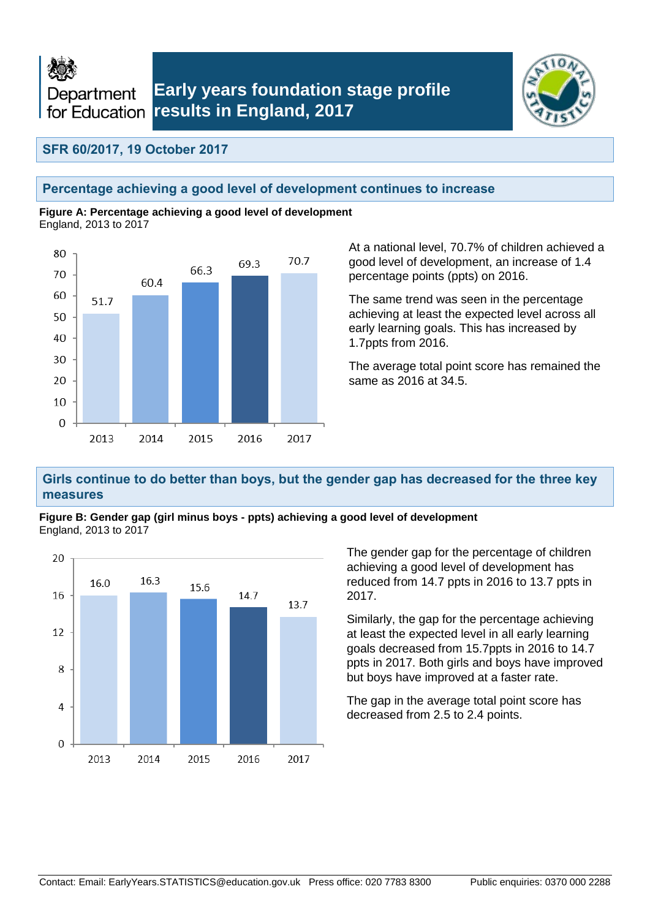



## **SFR 60/2017, 19 October 2017**

### **Percentage achieving a good level of development continues to increase**

**Figure A: Percentage achieving a good level of development** England, 2013 to 2017



At a national level, 70.7% of children achieved a good level of development, an increase of 1.4 percentage points (ppts) on 2016.

The same trend was seen in the percentage achieving at least the expected level across all early learning goals. This has increased by 1.7ppts from 2016.

The average total point score has remained the same as 2016 at 34.5.

### **Girls continue to do better than boys, but the gender gap has decreased for the three key measures**





The gender gap for the percentage of children achieving a good level of development has reduced from 14.7 ppts in 2016 to 13.7 ppts in 2017.

Similarly, the gap for the percentage achieving at least the expected level in all early learning goals decreased from 15.7ppts in 2016 to 14.7 ppts in 2017. Both girls and boys have improved but boys have improved at a faster rate.

The gap in the average total point score has decreased from 2.5 to 2.4 points.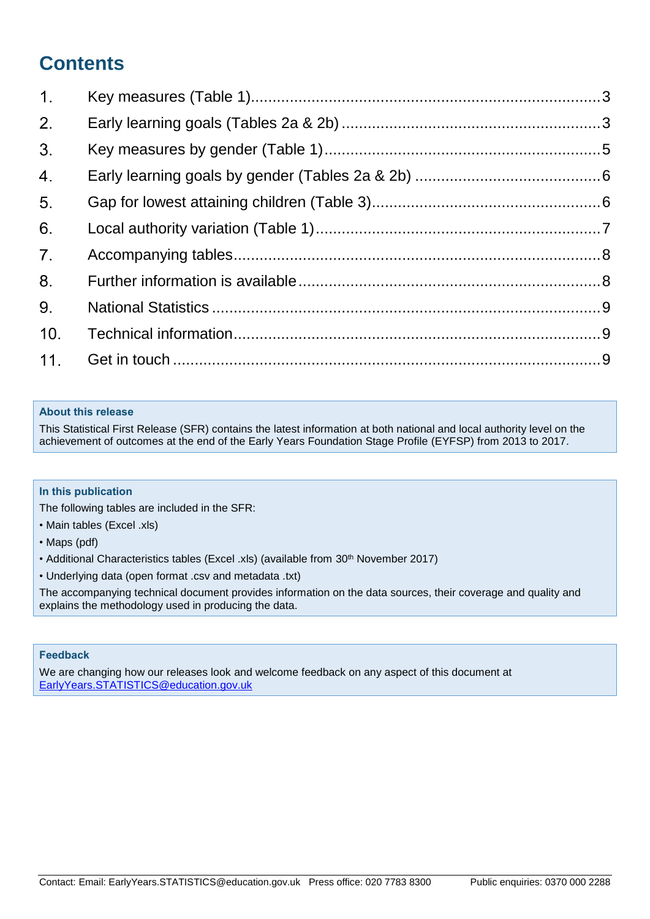# **Contents**

| 1.             |  |
|----------------|--|
| 2.             |  |
| 3 <sub>1</sub> |  |
| 4.             |  |
| 5.             |  |
| 6.             |  |
| 7 <sup>1</sup> |  |
| 8.             |  |
| 9.             |  |
| 10.            |  |
| 11.            |  |

### **About this release**

This Statistical First Release (SFR) contains the latest information at both national and local authority level on the achievement of outcomes at the end of the Early Years Foundation Stage Profile (EYFSP) from 2013 to 2017.

### **In this publication**

The following tables are included in the SFR:

- Main tables (Excel .xls)
- Maps (pdf)
- Additional Characteristics tables (Excel .xls) (available from 30<sup>th</sup> November 2017)
- Underlying data (open format .csv and metadata .txt)

The accompanying technical document provides information on the data sources, their coverage and quality and explains the methodology used in producing the data.

#### **Feedback**

We are changing how our releases look and welcome feedback on any aspect of this document at [EarlyYears.STATISTICS@education.gov.uk](mailto:EarlyYears.STATISTICS@education.gov.uk)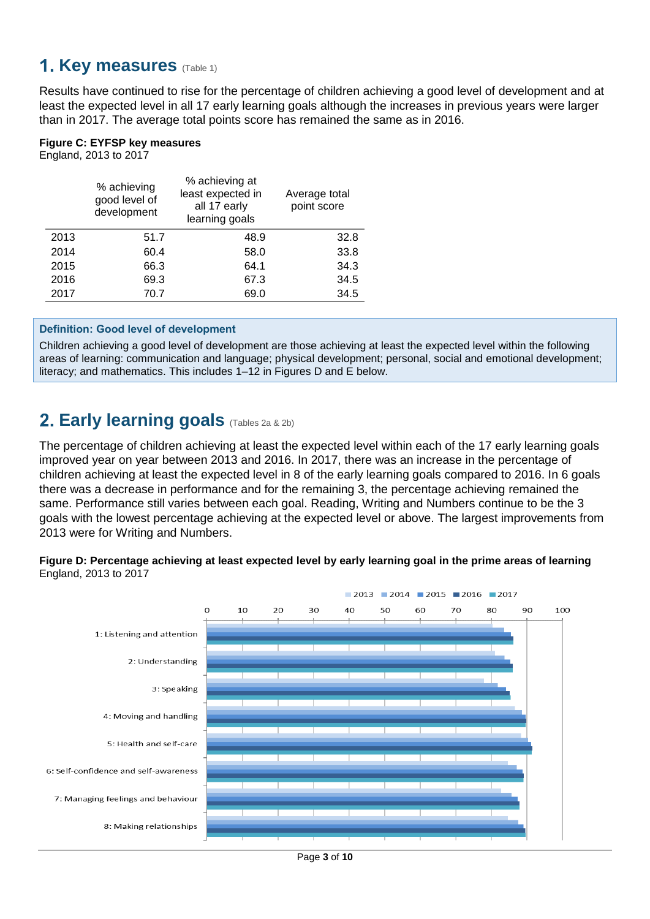## <span id="page-2-0"></span>**1. Key measures** (Table 1)

Results have continued to rise for the percentage of children achieving a good level of development and at least the expected level in all 17 early learning goals although the increases in previous years were larger than in 2017. The average total points score has remained the same as in 2016.

### **Figure C: EYFSP key measures**

England, 2013 to 2017

|      | % achieving<br>good level of<br>development | % achieving at<br>least expected in<br>all 17 early<br>learning goals | Average total<br>point score |
|------|---------------------------------------------|-----------------------------------------------------------------------|------------------------------|
| 2013 | 51.7                                        | 48.9                                                                  | 32.8                         |
| 2014 | 60.4                                        | 58.0                                                                  | 33.8                         |
| 2015 | 66.3                                        | 64.1                                                                  | 34.3                         |
| 2016 | 69.3                                        | 67.3                                                                  | 34.5                         |
| 2017 | 70.7                                        | 69.0                                                                  | 34.5                         |
|      |                                             |                                                                       |                              |

### **Definition: Good level of development**

Children achieving a good level of development are those achieving at least the expected level within the following areas of learning: communication and language; physical development; personal, social and emotional development; literacy; and mathematics. This includes 1–12 in Figures D and E below.

## <span id="page-2-1"></span>**Early learning goals** (Tables 2a & 2b)

The percentage of children achieving at least the expected level within each of the 17 early learning goals improved year on year between 2013 and 2016. In 2017, there was an increase in the percentage of children achieving at least the expected level in 8 of the early learning goals compared to 2016. In 6 goals there was a decrease in performance and for the remaining 3, the percentage achieving remained the same. Performance still varies between each goal. Reading, Writing and Numbers continue to be the 3 goals with the lowest percentage achieving at the expected level or above. The largest improvements from 2013 were for Writing and Numbers.

### **Figure D: Percentage achieving at least expected level by early learning goal in the prime areas of learning** England, 2013 to 2017

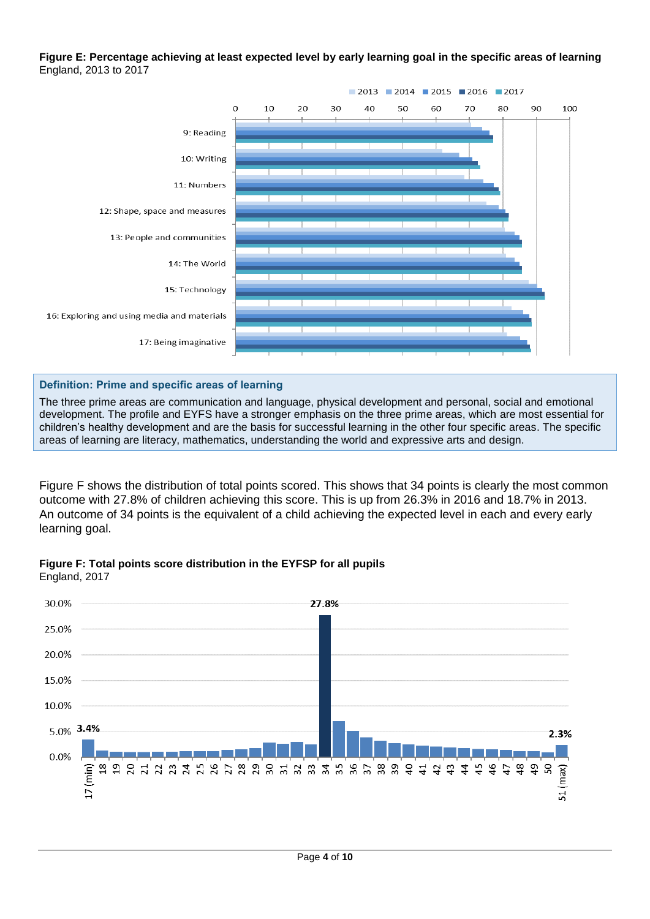#### **Figure E: Percentage achieving at least expected level by early learning goal in the specific areas of learning** England, 2013 to 2017



**Definition: Prime and specific areas of learning**

The three prime areas are communication and language, physical development and personal, social and emotional development. The profile and EYFS have a stronger emphasis on the three prime areas, which are most essential for children's healthy development and are the basis for successful learning in the other four specific areas. The specific areas of learning are literacy, mathematics, understanding the world and expressive arts and design.

Figure F shows the distribution of total points scored. This shows that 34 points is clearly the most common outcome with 27.8% of children achieving this score. This is up from 26.3% in 2016 and 18.7% in 2013. An outcome of 34 points is the equivalent of a child achieving the expected level in each and every early learning goal.



**Figure F: Total points score distribution in the EYFSP for all pupils** England, 2017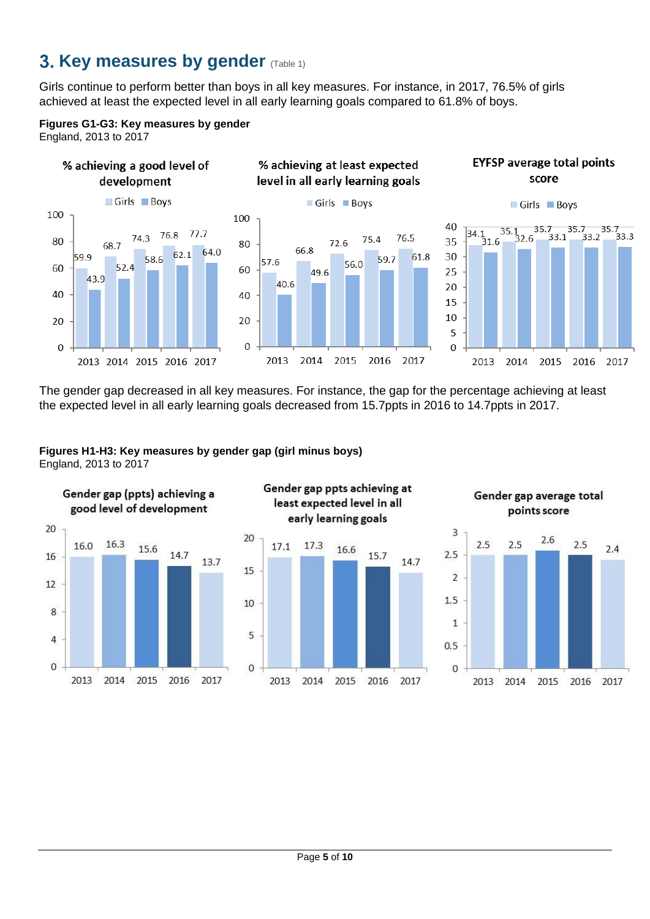# <span id="page-4-0"></span>**3. Key measures by gender (Table 1)**

Girls continue to perform better than boys in all key measures. For instance, in 2017, 76.5% of girls achieved at least the expected level in all early learning goals compared to 61.8% of boys.



England, 2013 to 2017





% achieving at least expected

level in all early learning goals





The gender gap decreased in all key measures. For instance, the gap for the percentage achieving at least the expected level in all early learning goals decreased from 15.7ppts in 2016 to 14.7ppts in 2017.





least expected level in all early learning goals 17.1 17.3 16.6 15.7 14.7

Gender gap ppts achieving at



2016

Gender gap average total points score

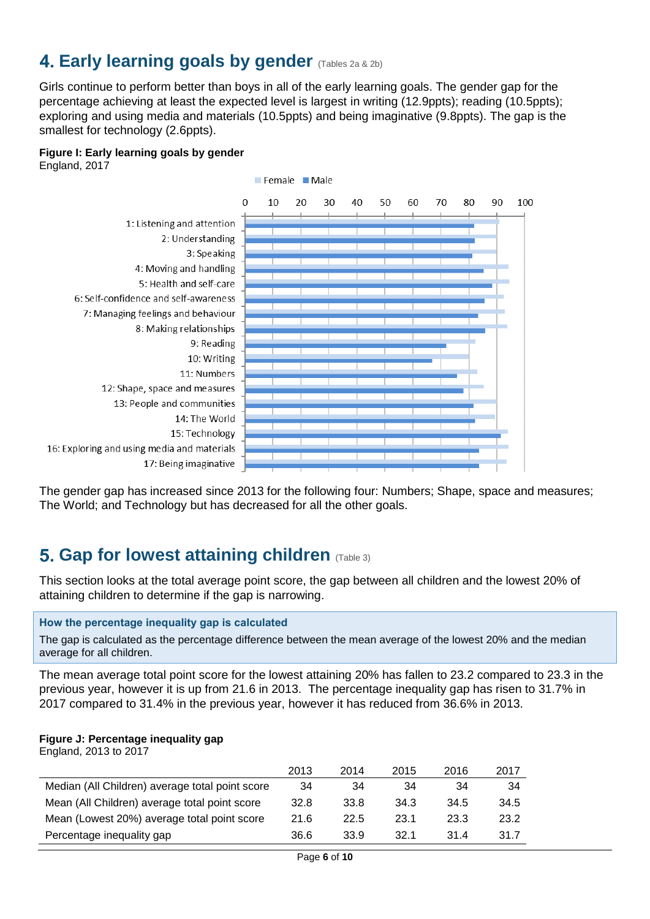# <span id="page-5-0"></span>**4. Early learning goals by gender** (Tables 2a & 2b)

Girls continue to perform better than boys in all of the early learning goals. The gender gap for the percentage achieving at least the expected level is largest in writing (12.9ppts); reading (10.5ppts); exploring and using media and materials (10.5ppts) and being imaginative (9.8ppts). The gap is the smallest for technology (2.6ppts).

#### **Figure I: Early learning goals by gender**

England, 2017



The gender gap has increased since 2013 for the following four: Numbers; Shape, space and measures; The World; and Technology but has decreased for all the other goals.

## <span id="page-5-1"></span>**5. Gap for lowest attaining children** (Table 3)

This section looks at the total average point score, the gap between all children and the lowest 20% of attaining children to determine if the gap is narrowing.

#### **How the percentage inequality gap is calculated**

The gap is calculated as the percentage difference between the mean average of the lowest 20% and the median average for all children.

The mean average total point score for the lowest attaining 20% has fallen to 23.2 compared to 23.3 in the previous year, however it is up from 21.6 in 2013. The percentage inequality gap has risen to 31.7% in 2017 compared to 31.4% in the previous year, however it has reduced from 36.6% in 2013.

#### **Figure J: Percentage inequality gap**

England, 2013 to 2017

|                                                 | 2013 | 2014 | 2015 | 2016 | 2017 |
|-------------------------------------------------|------|------|------|------|------|
| Median (All Children) average total point score | 34   | 34   | 34   | 34   | 34   |
| Mean (All Children) average total point score   | 32.8 | 33.8 | 34.3 | 34.5 | 34.5 |
| Mean (Lowest 20%) average total point score     | 21.6 | 22.5 | 23.1 | 23.3 | 23.2 |
| Percentage inequality gap                       | 36.6 | 33.9 | 32.1 | 31.4 | 31.7 |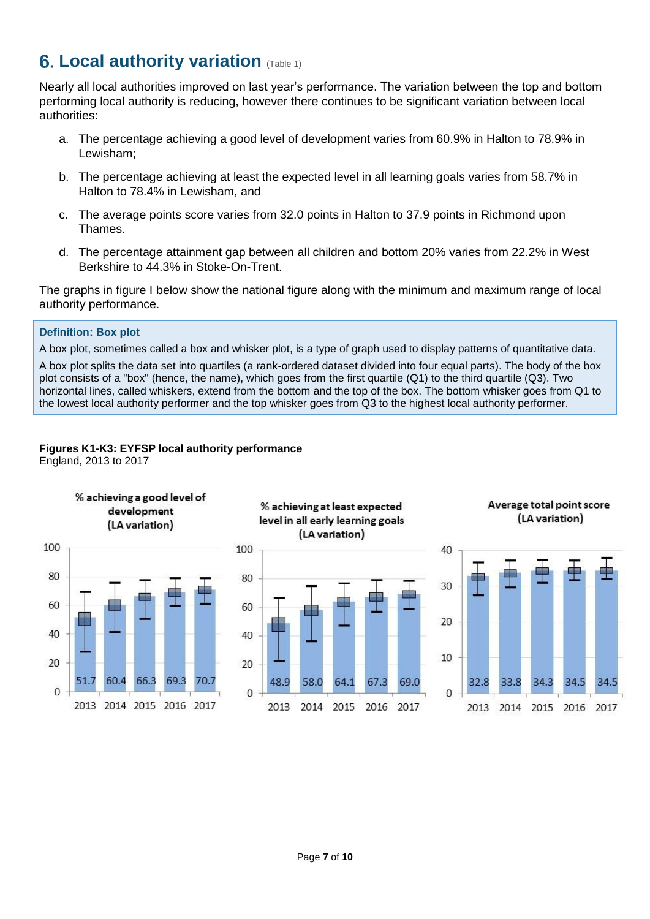# <span id="page-6-0"></span>**6. Local authority variation (Table 1)**

Nearly all local authorities improved on last year's performance. The variation between the top and bottom performing local authority is reducing, however there continues to be significant variation between local authorities:

- a. The percentage achieving a good level of development varies from 60.9% in Halton to 78.9% in Lewisham;
- b. The percentage achieving at least the expected level in all learning goals varies from 58.7% in Halton to 78.4% in Lewisham, and
- c. The average points score varies from 32.0 points in Halton to 37.9 points in Richmond upon Thames.
- d. The percentage attainment gap between all children and bottom 20% varies from 22.2% in West Berkshire to 44.3% in Stoke-On-Trent.

The graphs in figure I below show the national figure along with the minimum and maximum range of local authority performance.

### **Definition: Box plot**

A box plot, sometimes called a box and whisker plot, is a type of graph used to display patterns of quantitative data.

A box plot splits the data set into quartiles (a rank-ordered dataset divided into four equal parts). The body of the box plot consists of a "box" (hence, the name), which goes from the first quartile (Q1) to the third quartile (Q3). Two horizontal lines, called whiskers, extend from the bottom and the top of the box. The bottom whisker goes from Q1 to the lowest local authority performer and the top whisker goes from Q3 to the highest local authority performer.

## **Figures K1-K3: EYFSP local authority performance**

England, 2013 to 2017

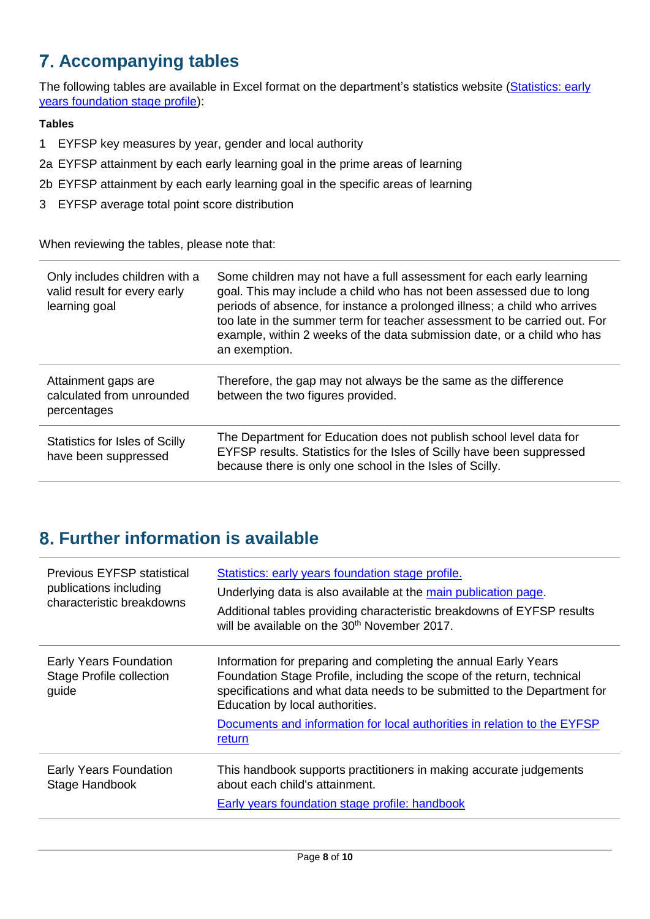# <span id="page-7-0"></span>**Accompanying tables**

The following tables are available in Excel format on the department's statistics website (Statistics: early [years foundation stage profile\)](https://www.gov.uk/government/collections/statistics-early-years-foundation-stage-profile):

### **Tables**

- 1 EYFSP key measures by year, gender and local authority
- 2a EYFSP attainment by each early learning goal in the prime areas of learning
- 2b EYFSP attainment by each early learning goal in the specific areas of learning
- 3 EYFSP average total point score distribution

When reviewing the tables, please note that:

| Only includes children with a<br>valid result for every early<br>learning goal | Some children may not have a full assessment for each early learning<br>goal. This may include a child who has not been assessed due to long<br>periods of absence, for instance a prolonged illness; a child who arrives<br>too late in the summer term for teacher assessment to be carried out. For<br>example, within 2 weeks of the data submission date, or a child who has<br>an exemption. |
|--------------------------------------------------------------------------------|----------------------------------------------------------------------------------------------------------------------------------------------------------------------------------------------------------------------------------------------------------------------------------------------------------------------------------------------------------------------------------------------------|
| Attainment gaps are<br>calculated from unrounded<br>percentages                | Therefore, the gap may not always be the same as the difference<br>between the two figures provided.                                                                                                                                                                                                                                                                                               |
| <b>Statistics for Isles of Scilly</b><br>have been suppressed                  | The Department for Education does not publish school level data for<br>EYFSP results. Statistics for the Isles of Scilly have been suppressed<br>because there is only one school in the Isles of Scilly.                                                                                                                                                                                          |

# <span id="page-7-1"></span>**Further information is available**

| <b>Previous EYFSP statistical</b><br>publications including<br>characteristic breakdowns | Statistics: early years foundation stage profile.<br>Underlying data is also available at the main publication page.<br>Additional tables providing characteristic breakdowns of EYFSP results<br>will be available on the 30 <sup>th</sup> November 2017.                                                                           |
|------------------------------------------------------------------------------------------|--------------------------------------------------------------------------------------------------------------------------------------------------------------------------------------------------------------------------------------------------------------------------------------------------------------------------------------|
| <b>Early Years Foundation</b><br><b>Stage Profile collection</b><br>guide                | Information for preparing and completing the annual Early Years<br>Foundation Stage Profile, including the scope of the return, technical<br>specifications and what data needs to be submitted to the Department for<br>Education by local authorities.<br>Documents and information for local authorities in relation to the EYFSP |
| <b>Early Years Foundation</b><br>Stage Handbook                                          | return<br>This handbook supports practitioners in making accurate judgements<br>about each child's attainment.<br>Early years foundation stage profile: handbook                                                                                                                                                                     |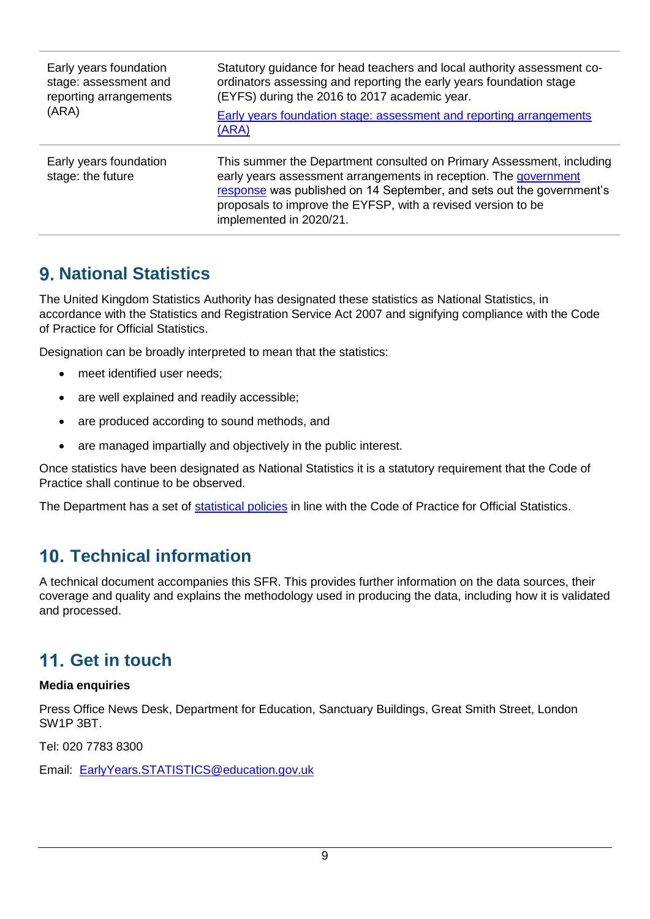| Early years foundation<br>stage: assessment and<br>reporting arrangements<br>(ARA) | Statutory guidance for head teachers and local authority assessment co-<br>ordinators assessing and reporting the early years foundation stage<br>(EYFS) during the 2016 to 2017 academic year.<br>Early years foundation stage: assessment and reporting arrangements<br>(ARA)                               |
|------------------------------------------------------------------------------------|---------------------------------------------------------------------------------------------------------------------------------------------------------------------------------------------------------------------------------------------------------------------------------------------------------------|
| Early years foundation<br>stage: the future                                        | This summer the Department consulted on Primary Assessment, including<br>early years assessment arrangements in reception. The government<br>response was published on 14 September, and sets out the government's<br>proposals to improve the EYFSP, with a revised version to be<br>implemented in 2020/21. |

## <span id="page-8-0"></span>**National Statistics**

The United Kingdom Statistics Authority has designated these statistics as National Statistics, in accordance with the Statistics and Registration Service Act 2007 and signifying compliance with the Code of Practice for Official Statistics.

Designation can be broadly interpreted to mean that the statistics:

- meet identified user needs;
- are well explained and readily accessible;
- are produced according to sound methods, and
- are managed impartially and objectively in the public interest.

Once statistics have been designated as National Statistics it is a statutory requirement that the Code of Practice shall continue to be observed.

The Department has a set of [statistical policies](http://www.gov.uk/government/publications/standards-for-official-statistics-published-by-the-department-for-education) in line with the Code of Practice for Official Statistics.

# <span id="page-8-1"></span>**Technical information**

A technical document accompanies this SFR. This provides further information on the data sources, their coverage and quality and explains the methodology used in producing the data, including how it is validated and processed.

# <span id="page-8-2"></span>**Get in touch**

### **Media enquiries**

Press Office News Desk, Department for Education, Sanctuary Buildings, Great Smith Street, London SW1P 3BT.

Tel: 020 7783 8300

Email: [EarlyYears.STATISTICS@education.gov.uk](mailto:EarlyYears.STATISTICS@education.gov.uk)